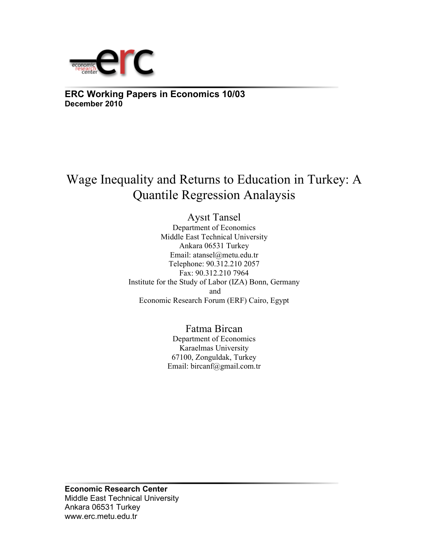

**ERC Working Papers in Economics 10/03 December 2010**

# Wage Inequality and Returns to Education in Turkey: A Quantile Regression Analaysis

Aysıt Tansel Department of Economics Middle East Technical University Ankara 06531 Turkey Email: atansel@metu.edu.tr Telephone: 90.312.210 2057 Fax: 90.312.210 7964 Institute for the Study of Labor (IZA) Bonn, Germany and Economic Research Forum (ERF) Cairo, Egypt

> Fatma Bircan Department of Economics Karaelmas University 67100, Zonguldak, Turkey Email: bircanf@gmail.com.tr

**Economic Research Center**  Middle East Technical University Ankara 06531 Turkey www.erc.metu.edu.tr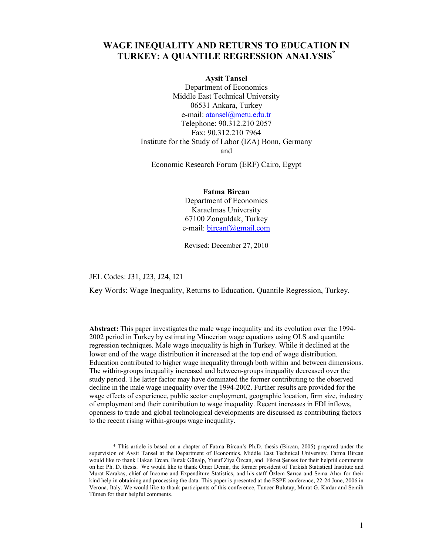# **WAGE INEQUALITY AND RETURNS TO EDUCATION IN TURKEY: A QUANTILE REGRESSION ANALYSIS\***

## **Aysit Tansel**

Department of Economics Middle East Technical University 06531 Ankara, Turkey e-mail: atansel@metu.edu.tr Telephone: 90.312.210 2057 Fax: 90.312.210 7964 Institute for the Study of Labor (IZA) Bonn, Germany and

Economic Research Forum (ERF) Cairo, Egypt

**Fatma Bircan**  Department of Economics Karaelmas University 67100 Zonguldak, Turkey e-mail: bircanf@gmail.com

Revised: December 27, 2010

JEL Codes: J31, J23, J24, I21

Key Words: Wage Inequality, Returns to Education, Quantile Regression, Turkey.

**Abstract:** This paper investigates the male wage inequality and its evolution over the 1994- 2002 period in Turkey by estimating Mincerian wage equations using OLS and quantile regression techniques. Male wage inequality is high in Turkey. While it declined at the lower end of the wage distribution it increased at the top end of wage distribution. Education contributed to higher wage inequality through both within and between dimensions. The within-groups inequality increased and between-groups inequality decreased over the study period. The latter factor may have dominated the former contributing to the observed decline in the male wage inequality over the 1994-2002. Further results are provided for the wage effects of experience, public sector employment, geographic location, firm size, industry of employment and their contribution to wage inequality. Recent increases in FDI inflows, openness to trade and global technological developments are discussed as contributing factors to the recent rising within-groups wage inequality.

\* This article is based on a chapter of Fatma Bircan's Ph.D. thesis (Bircan, 2005) prepared under the supervision of Aysit Tansel at the Department of Economics, Middle East Technical University. Fatma Bircan would like to thank Hakan Ercan, Burak Günalp, Yusuf Ziya Özcan, and Fikret Şenses for their helpful comments on her Ph. D. thesis. We would like to thank Ömer Demir, the former president of Turkish Statistical Institute and Murat Karakaş, chief of Income and Expenditure Statistics, and his staff Özlem Sarıca and Sema Alıcı for their kind help in obtaining and processing the data. This paper is presented at the ESPE conference, 22-24 June, 2006 in Verona, Italy. We would like to thank participants of this conference, Tuncer Bulutay, Murat G. Kırdar and Semih Tümen for their helpful comments.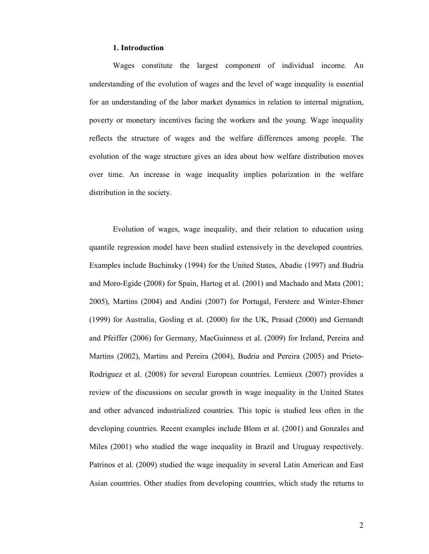## **1. Introduction**

Wages constitute the largest component of individual income. An understanding of the evolution of wages and the level of wage inequality is essential for an understanding of the labor market dynamics in relation to internal migration, poverty or monetary incentives facing the workers and the young. Wage inequality reflects the structure of wages and the welfare differences among people. The evolution of the wage structure gives an idea about how welfare distribution moves over time. An increase in wage inequality implies polarization in the welfare distribution in the society.

Evolution of wages, wage inequality, and their relation to education using quantile regression model have been studied extensively in the developed countries. Examples include Buchinsky (1994) for the United States, Abadie (1997) and Budria and Moro-Egide (2008) for Spain, Hartog et al. (2001) and Machado and Mata (2001; 2005), Martins (2004) and Andini (2007) for Portugal, Ferstere and Winter-Ebmer (1999) for Australia, Gosling et al. (2000) for the UK, Prasad (2000) and Gernandt and Pfeiffer (2006) for Germany, MacGuinness et al. (2009) for Ireland, Pereira and Martins (2002), Martins and Pereira (2004), Budria and Pereira (2005) and Prieto-Rodriguez et al. (2008) for several European countries. Lemieux (2007) provides a review of the discussions on secular growth in wage inequality in the United States and other advanced industrialized countries. This topic is studied less often in the developing countries. Recent examples include Blom et al. (2001) and Gonzales and Miles (2001) who studied the wage inequality in Brazil and Uruguay respectively. Patrinos et al. (2009) studied the wage inequality in several Latin American and East Asian countries. Other studies from developing countries, which study the returns to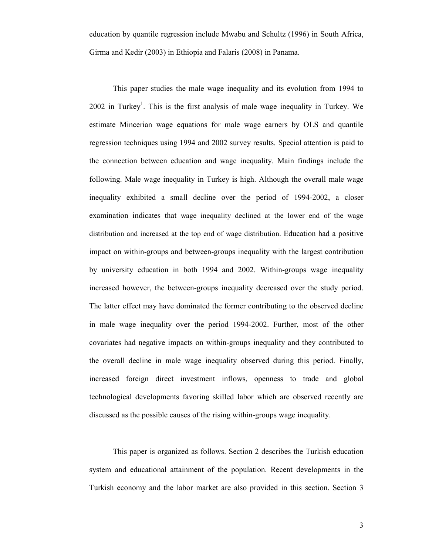education by quantile regression include Mwabu and Schultz (1996) in South Africa, Girma and Kedir (2003) in Ethiopia and Falaris (2008) in Panama.

 This paper studies the male wage inequality and its evolution from 1994 to 2002 in Turkey<sup>1</sup>. This is the first analysis of male wage inequality in Turkey. We estimate Mincerian wage equations for male wage earners by OLS and quantile regression techniques using 1994 and 2002 survey results. Special attention is paid to the connection between education and wage inequality. Main findings include the following. Male wage inequality in Turkey is high. Although the overall male wage inequality exhibited a small decline over the period of 1994-2002, a closer examination indicates that wage inequality declined at the lower end of the wage distribution and increased at the top end of wage distribution. Education had a positive impact on within-groups and between-groups inequality with the largest contribution by university education in both 1994 and 2002. Within-groups wage inequality increased however, the between-groups inequality decreased over the study period. The latter effect may have dominated the former contributing to the observed decline in male wage inequality over the period 1994-2002. Further, most of the other covariates had negative impacts on within-groups inequality and they contributed to the overall decline in male wage inequality observed during this period. Finally, increased foreign direct investment inflows, openness to trade and global technological developments favoring skilled labor which are observed recently are discussed as the possible causes of the rising within-groups wage inequality.

This paper is organized as follows. Section 2 describes the Turkish education system and educational attainment of the population. Recent developments in the Turkish economy and the labor market are also provided in this section. Section 3

3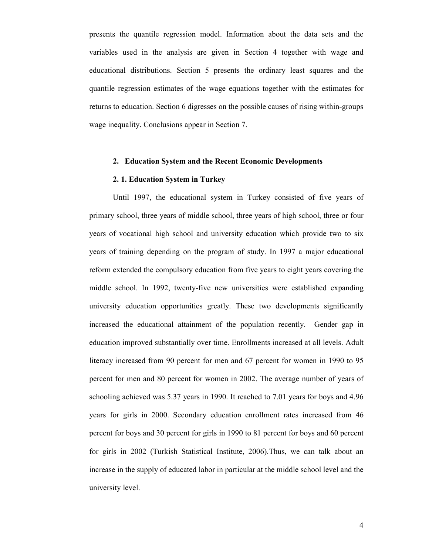presents the quantile regression model. Information about the data sets and the variables used in the analysis are given in Section 4 together with wage and educational distributions. Section 5 presents the ordinary least squares and the quantile regression estimates of the wage equations together with the estimates for returns to education. Section 6 digresses on the possible causes of rising within-groups wage inequality. Conclusions appear in Section 7.

# **2. Education System and the Recent Economic Developments**

### **2. 1. Education System in Turkey**

Until 1997, the educational system in Turkey consisted of five years of primary school, three years of middle school, three years of high school, three or four years of vocational high school and university education which provide two to six years of training depending on the program of study. In 1997 a major educational reform extended the compulsory education from five years to eight years covering the middle school. In 1992, twenty-five new universities were established expanding university education opportunities greatly. These two developments significantly increased the educational attainment of the population recently. Gender gap in education improved substantially over time. Enrollments increased at all levels. Adult literacy increased from 90 percent for men and 67 percent for women in 1990 to 95 percent for men and 80 percent for women in 2002. The average number of years of schooling achieved was 5.37 years in 1990. It reached to 7.01 years for boys and 4.96 years for girls in 2000. Secondary education enrollment rates increased from 46 percent for boys and 30 percent for girls in 1990 to 81 percent for boys and 60 percent for girls in 2002 (Turkish Statistical Institute, 2006).Thus, we can talk about an increase in the supply of educated labor in particular at the middle school level and the university level.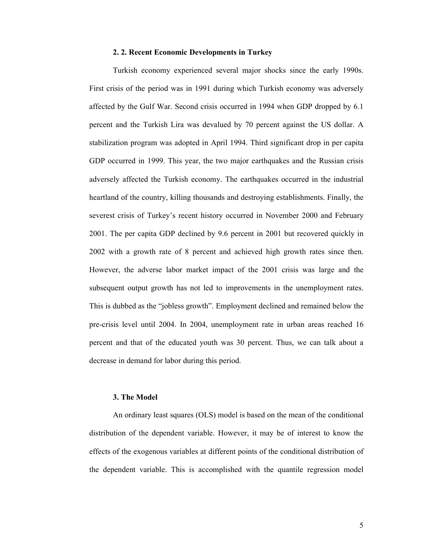## **2. 2. Recent Economic Developments in Turkey**

Turkish economy experienced several major shocks since the early 1990s. First crisis of the period was in 1991 during which Turkish economy was adversely affected by the Gulf War. Second crisis occurred in 1994 when GDP dropped by 6.1 percent and the Turkish Lira was devalued by 70 percent against the US dollar. A stabilization program was adopted in April 1994. Third significant drop in per capita GDP occurred in 1999. This year, the two major earthquakes and the Russian crisis adversely affected the Turkish economy. The earthquakes occurred in the industrial heartland of the country, killing thousands and destroying establishments. Finally, the severest crisis of Turkey's recent history occurred in November 2000 and February 2001. The per capita GDP declined by 9.6 percent in 2001 but recovered quickly in 2002 with a growth rate of 8 percent and achieved high growth rates since then. However, the adverse labor market impact of the 2001 crisis was large and the subsequent output growth has not led to improvements in the unemployment rates. This is dubbed as the "jobless growth". Employment declined and remained below the pre-crisis level until 2004. In 2004, unemployment rate in urban areas reached 16 percent and that of the educated youth was 30 percent. Thus, we can talk about a decrease in demand for labor during this period.

#### **3. The Model**

 An ordinary least squares (OLS) model is based on the mean of the conditional distribution of the dependent variable. However, it may be of interest to know the effects of the exogenous variables at different points of the conditional distribution of the dependent variable. This is accomplished with the quantile regression model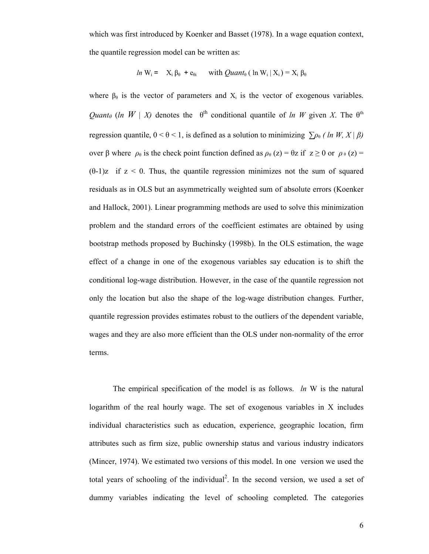which was first introduced by Koenker and Basset (1978). In a wage equation context, the quantile regression model can be written as:

$$
ln W_i = X_i \beta_0 + e_{0i} \quad \text{with } Quantummu_0 \text{ (ln } W_i \mid X_i) = X_i \beta_0
$$

where  $\beta_0$  is the vector of parameters and  $X_i$  is the vector of exogenous variables. *Quant<sub>θ</sub>* (*ln W* | *X*) denotes the  $\theta^{th}$  conditional quantile of *ln W* given *X*. The  $\theta^{th}$ regression quantile,  $0 < \theta < 1$ , is defined as a solution to minimizing  $\sum \rho_{\theta}$  (ln W, X |  $\beta$ ) over β where  $ρ_θ$  is the check point function defined as  $ρ_θ$  (z) = θz if  $z \ge 0$  or  $ρ_θ$  (z) =  $(\theta-1)z$  if  $z < 0$ . Thus, the quantile regression minimizes not the sum of squared residuals as in OLS but an asymmetrically weighted sum of absolute errors (Koenker and Hallock, 2001). Linear programming methods are used to solve this minimization problem and the standard errors of the coefficient estimates are obtained by using bootstrap methods proposed by Buchinsky (1998b). In the OLS estimation, the wage effect of a change in one of the exogenous variables say education is to shift the conditional log-wage distribution. However, in the case of the quantile regression not only the location but also the shape of the log-wage distribution changes. Further, quantile regression provides estimates robust to the outliers of the dependent variable, wages and they are also more efficient than the OLS under non-normality of the error terms.

 The empirical specification of the model is as follows. *ln* W is the natural logarithm of the real hourly wage. The set of exogenous variables in X includes individual characteristics such as education, experience, geographic location, firm attributes such as firm size, public ownership status and various industry indicators (Mincer, 1974). We estimated two versions of this model. In one version we used the total years of schooling of the individual<sup>2</sup>. In the second version, we used a set of dummy variables indicating the level of schooling completed. The categories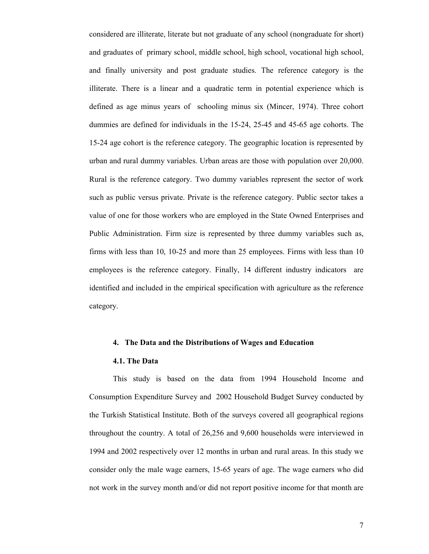considered are illiterate, literate but not graduate of any school (nongraduate for short) and graduates of primary school, middle school, high school, vocational high school, and finally university and post graduate studies. The reference category is the illiterate. There is a linear and a quadratic term in potential experience which is defined as age minus years of schooling minus six (Mincer, 1974). Three cohort dummies are defined for individuals in the 15-24, 25-45 and 45-65 age cohorts. The 15-24 age cohort is the reference category. The geographic location is represented by urban and rural dummy variables. Urban areas are those with population over 20,000. Rural is the reference category. Two dummy variables represent the sector of work such as public versus private. Private is the reference category. Public sector takes a value of one for those workers who are employed in the State Owned Enterprises and Public Administration. Firm size is represented by three dummy variables such as, firms with less than 10, 10-25 and more than 25 employees. Firms with less than 10 employees is the reference category. Finally, 14 different industry indicators are identified and included in the empirical specification with agriculture as the reference category.

# **4. The Data and the Distributions of Wages and Education**

#### **4.1. The Data**

This study is based on the data from 1994 Household Income and Consumption Expenditure Survey and 2002 Household Budget Survey conducted by the Turkish Statistical Institute. Both of the surveys covered all geographical regions throughout the country. A total of 26,256 and 9,600 households were interviewed in 1994 and 2002 respectively over 12 months in urban and rural areas. In this study we consider only the male wage earners, 15-65 years of age. The wage earners who did not work in the survey month and/or did not report positive income for that month are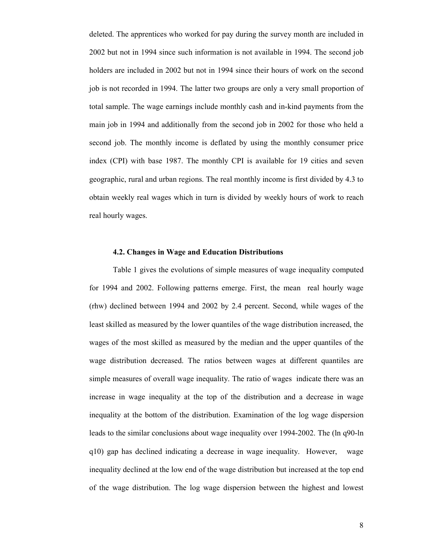deleted. The apprentices who worked for pay during the survey month are included in 2002 but not in 1994 since such information is not available in 1994. The second job holders are included in 2002 but not in 1994 since their hours of work on the second job is not recorded in 1994. The latter two groups are only a very small proportion of total sample. The wage earnings include monthly cash and in-kind payments from the main job in 1994 and additionally from the second job in 2002 for those who held a second job. The monthly income is deflated by using the monthly consumer price index (CPI) with base 1987. The monthly CPI is available for 19 cities and seven geographic, rural and urban regions. The real monthly income is first divided by 4.3 to obtain weekly real wages which in turn is divided by weekly hours of work to reach real hourly wages.

# **4.2. Changes in Wage and Education Distributions**

Table 1 gives the evolutions of simple measures of wage inequality computed for 1994 and 2002. Following patterns emerge. First, the mean real hourly wage (rhw) declined between 1994 and 2002 by 2.4 percent. Second, while wages of the least skilled as measured by the lower quantiles of the wage distribution increased, the wages of the most skilled as measured by the median and the upper quantiles of the wage distribution decreased. The ratios between wages at different quantiles are simple measures of overall wage inequality. The ratio of wages indicate there was an increase in wage inequality at the top of the distribution and a decrease in wage inequality at the bottom of the distribution. Examination of the log wage dispersion leads to the similar conclusions about wage inequality over 1994-2002. The (ln q90-ln q10) gap has declined indicating a decrease in wage inequality. However, wage inequality declined at the low end of the wage distribution but increased at the top end of the wage distribution. The log wage dispersion between the highest and lowest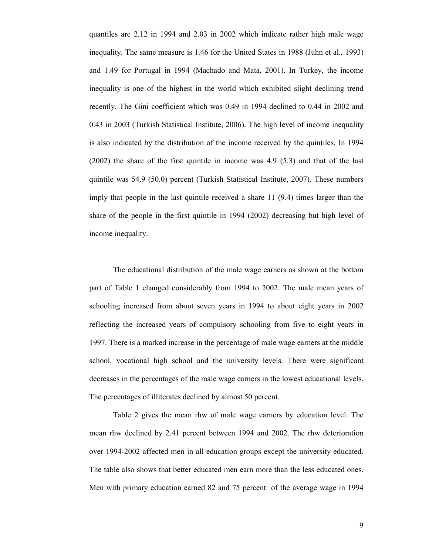quantiles are 2.12 in 1994 and 2.03 in 2002 which indicate rather high male wage inequality. The same measure is 1.46 for the United States in 1988 (Juhn et al., 1993) and 1.49 for Portugal in 1994 (Machado and Mata, 2001). In Turkey, the income inequality is one of the highest in the world which exhibited slight declining trend recently. The Gini coefficient which was 0.49 in 1994 declined to 0.44 in 2002 and 0.43 in 2003 (Turkish Statistical Institute, 2006). The high level of income inequality is also indicated by the distribution of the income received by the quintiles. In 1994 (2002) the share of the first quintile in income was 4.9 (5.3) and that of the last quintile was 54.9 (50.0) percent (Turkish Statistical Institute, 2007). These numbers imply that people in the last quintile received a share 11 (9.4) times larger than the share of the people in the first quintile in 1994 (2002) decreasing but high level of income inequality.

 The educational distribution of the male wage earners as shown at the bottom part of Table 1 changed considerably from 1994 to 2002. The male mean years of schooling increased from about seven years in 1994 to about eight years in 2002 reflecting the increased years of compulsory schooling from five to eight years in 1997. There is a marked increase in the percentage of male wage earners at the middle school, vocational high school and the university levels. There were significant decreases in the percentages of the male wage earners in the lowest educational levels. The percentages of illiterates declined by almost 50 percent.

 Table 2 gives the mean rhw of male wage earners by education level. The mean rhw declined by 2.41 percent between 1994 and 2002. The rhw deterioration over 1994-2002 affected men in all education groups except the university educated. The table also shows that better educated men earn more than the less educated ones. Men with primary education earned 82 and 75 percent of the average wage in 1994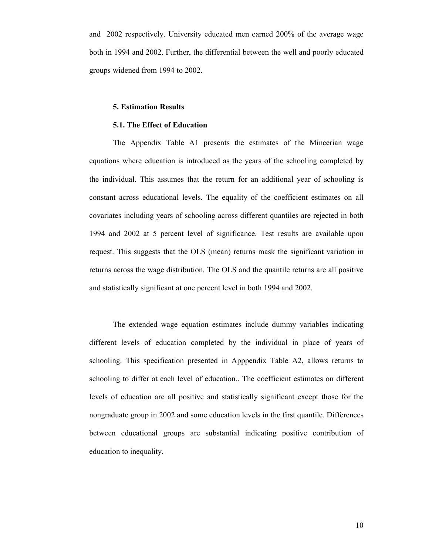and 2002 respectively. University educated men earned 200% of the average wage both in 1994 and 2002. Further, the differential between the well and poorly educated groups widened from 1994 to 2002.

# **5. Estimation Results**

# **5.1. The Effect of Education**

 The Appendix Table A1 presents the estimates of the Mincerian wage equations where education is introduced as the years of the schooling completed by the individual. This assumes that the return for an additional year of schooling is constant across educational levels. The equality of the coefficient estimates on all covariates including years of schooling across different quantiles are rejected in both 1994 and 2002 at 5 percent level of significance. Test results are available upon request. This suggests that the OLS (mean) returns mask the significant variation in returns across the wage distribution. The OLS and the quantile returns are all positive and statistically significant at one percent level in both 1994 and 2002.

 The extended wage equation estimates include dummy variables indicating different levels of education completed by the individual in place of years of schooling. This specification presented in Apppendix Table A2, allows returns to schooling to differ at each level of education.. The coefficient estimates on different levels of education are all positive and statistically significant except those for the nongraduate group in 2002 and some education levels in the first quantile. Differences between educational groups are substantial indicating positive contribution of education to inequality.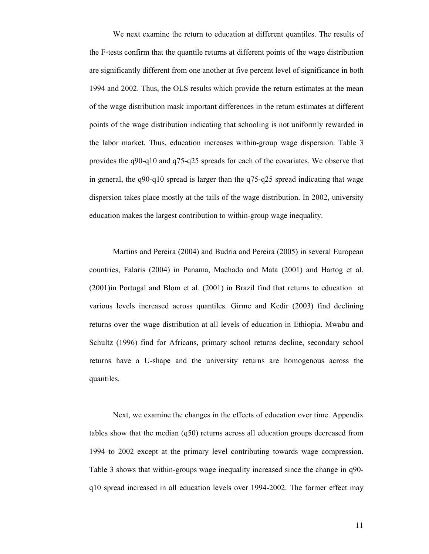We next examine the return to education at different quantiles. The results of the F-tests confirm that the quantile returns at different points of the wage distribution are significantly different from one another at five percent level of significance in both 1994 and 2002. Thus, the OLS results which provide the return estimates at the mean of the wage distribution mask important differences in the return estimates at different points of the wage distribution indicating that schooling is not uniformly rewarded in the labor market. Thus, education increases within-group wage dispersion. Table 3 provides the q90-q10 and q75-q25 spreads for each of the covariates. We observe that in general, the q90-q10 spread is larger than the q75-q25 spread indicating that wage dispersion takes place mostly at the tails of the wage distribution. In 2002, university education makes the largest contribution to within-group wage inequality.

Martins and Pereira (2004) and Budria and Pereira (2005) in several European countries, Falaris (2004) in Panama, Machado and Mata (2001) and Hartog et al. (2001)in Portugal and Blom et al. (2001) in Brazil find that returns to education at various levels increased across quantiles. Girme and Kedir (2003) find declining returns over the wage distribution at all levels of education in Ethiopia. Mwabu and Schultz (1996) find for Africans, primary school returns decline, secondary school returns have a U-shape and the university returns are homogenous across the quantiles.

Next, we examine the changes in the effects of education over time. Appendix tables show that the median (q50) returns across all education groups decreased from 1994 to 2002 except at the primary level contributing towards wage compression. Table 3 shows that within-groups wage inequality increased since the change in q90 q10 spread increased in all education levels over 1994-2002. The former effect may

11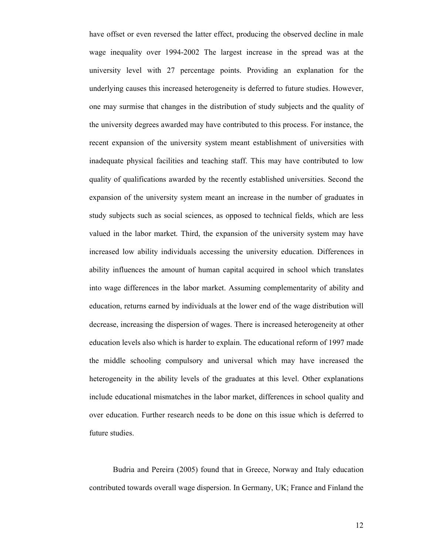have offset or even reversed the latter effect, producing the observed decline in male wage inequality over 1994-2002 The largest increase in the spread was at the university level with 27 percentage points. Providing an explanation for the underlying causes this increased heterogeneity is deferred to future studies. However, one may surmise that changes in the distribution of study subjects and the quality of the university degrees awarded may have contributed to this process. For instance, the recent expansion of the university system meant establishment of universities with inadequate physical facilities and teaching staff. This may have contributed to low quality of qualifications awarded by the recently established universities. Second the expansion of the university system meant an increase in the number of graduates in study subjects such as social sciences, as opposed to technical fields, which are less valued in the labor market. Third, the expansion of the university system may have increased low ability individuals accessing the university education. Differences in ability influences the amount of human capital acquired in school which translates into wage differences in the labor market. Assuming complementarity of ability and education, returns earned by individuals at the lower end of the wage distribution will decrease, increasing the dispersion of wages. There is increased heterogeneity at other education levels also which is harder to explain. The educational reform of 1997 made the middle schooling compulsory and universal which may have increased the heterogeneity in the ability levels of the graduates at this level. Other explanations include educational mismatches in the labor market, differences in school quality and over education. Further research needs to be done on this issue which is deferred to future studies.

 Budria and Pereira (2005) found that in Greece, Norway and Italy education contributed towards overall wage dispersion. In Germany, UK; France and Finland the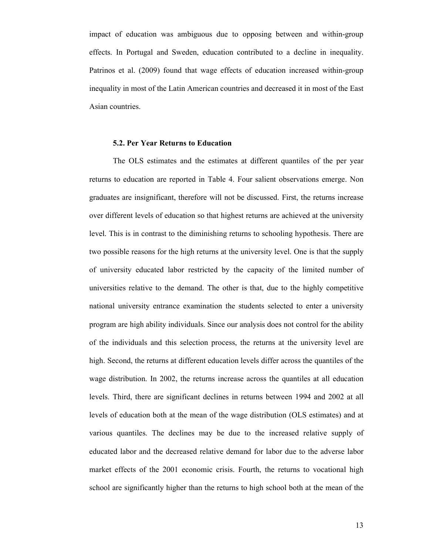impact of education was ambiguous due to opposing between and within-group effects. In Portugal and Sweden, education contributed to a decline in inequality. Patrinos et al. (2009) found that wage effects of education increased within-group inequality in most of the Latin American countries and decreased it in most of the East Asian countries.

#### **5.2. Per Year Returns to Education**

The OLS estimates and the estimates at different quantiles of the per year returns to education are reported in Table 4. Four salient observations emerge. Non graduates are insignificant, therefore will not be discussed. First, the returns increase over different levels of education so that highest returns are achieved at the university level. This is in contrast to the diminishing returns to schooling hypothesis. There are two possible reasons for the high returns at the university level. One is that the supply of university educated labor restricted by the capacity of the limited number of universities relative to the demand. The other is that, due to the highly competitive national university entrance examination the students selected to enter a university program are high ability individuals. Since our analysis does not control for the ability of the individuals and this selection process, the returns at the university level are high. Second, the returns at different education levels differ across the quantiles of the wage distribution. In 2002, the returns increase across the quantiles at all education levels. Third, there are significant declines in returns between 1994 and 2002 at all levels of education both at the mean of the wage distribution (OLS estimates) and at various quantiles. The declines may be due to the increased relative supply of educated labor and the decreased relative demand for labor due to the adverse labor market effects of the 2001 economic crisis. Fourth, the returns to vocational high school are significantly higher than the returns to high school both at the mean of the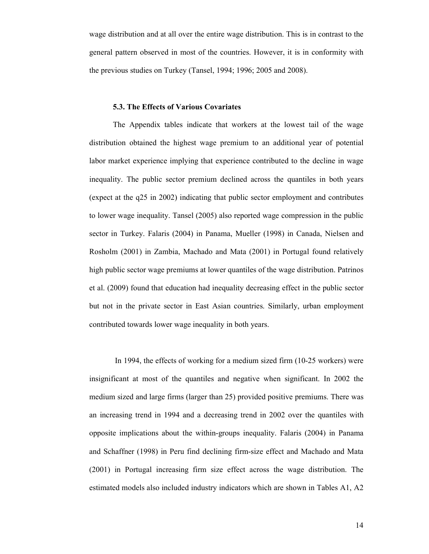wage distribution and at all over the entire wage distribution. This is in contrast to the general pattern observed in most of the countries. However, it is in conformity with the previous studies on Turkey (Tansel, 1994; 1996; 2005 and 2008).

#### **5.3. The Effects of Various Covariates**

The Appendix tables indicate that workers at the lowest tail of the wage distribution obtained the highest wage premium to an additional year of potential labor market experience implying that experience contributed to the decline in wage inequality. The public sector premium declined across the quantiles in both years (expect at the q25 in 2002) indicating that public sector employment and contributes to lower wage inequality. Tansel (2005) also reported wage compression in the public sector in Turkey. Falaris (2004) in Panama, Mueller (1998) in Canada, Nielsen and Rosholm (2001) in Zambia, Machado and Mata (2001) in Portugal found relatively high public sector wage premiums at lower quantiles of the wage distribution. Patrinos et al. (2009) found that education had inequality decreasing effect in the public sector but not in the private sector in East Asian countries. Similarly, urban employment contributed towards lower wage inequality in both years.

 In 1994, the effects of working for a medium sized firm (10-25 workers) were insignificant at most of the quantiles and negative when significant. In 2002 the medium sized and large firms (larger than 25) provided positive premiums. There was an increasing trend in 1994 and a decreasing trend in 2002 over the quantiles with opposite implications about the within-groups inequality. Falaris (2004) in Panama and Schaffner (1998) in Peru find declining firm-size effect and Machado and Mata (2001) in Portugal increasing firm size effect across the wage distribution. The estimated models also included industry indicators which are shown in Tables A1, A2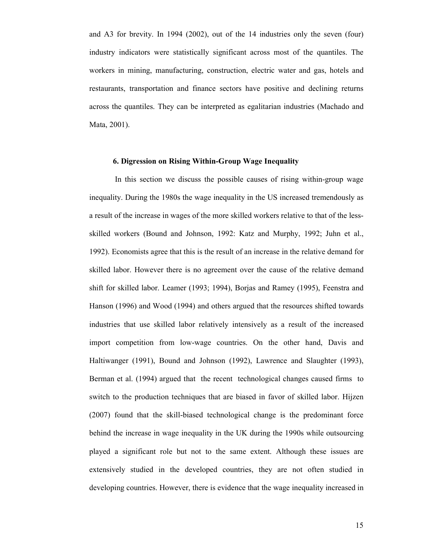and A3 for brevity. In 1994 (2002), out of the 14 industries only the seven (four) industry indicators were statistically significant across most of the quantiles. The workers in mining, manufacturing, construction, electric water and gas, hotels and restaurants, transportation and finance sectors have positive and declining returns across the quantiles. They can be interpreted as egalitarian industries (Machado and Mata, 2001).

# **6. Digression on Rising Within-Group Wage Inequality**

In this section we discuss the possible causes of rising within-group wage inequality. During the 1980s the wage inequality in the US increased tremendously as a result of the increase in wages of the more skilled workers relative to that of the lessskilled workers (Bound and Johnson, 1992: Katz and Murphy, 1992; Juhn et al., 1992). Economists agree that this is the result of an increase in the relative demand for skilled labor. However there is no agreement over the cause of the relative demand shift for skilled labor. Leamer (1993; 1994), Borjas and Ramey (1995), Feenstra and Hanson (1996) and Wood (1994) and others argued that the resources shifted towards industries that use skilled labor relatively intensively as a result of the increased import competition from low-wage countries. On the other hand, Davis and Haltiwanger (1991), Bound and Johnson (1992), Lawrence and Slaughter (1993), Berman et al. (1994) argued that the recent technological changes caused firms to switch to the production techniques that are biased in favor of skilled labor. Hijzen (2007) found that the skill-biased technological change is the predominant force behind the increase in wage inequality in the UK during the 1990s while outsourcing played a significant role but not to the same extent. Although these issues are extensively studied in the developed countries, they are not often studied in developing countries. However, there is evidence that the wage inequality increased in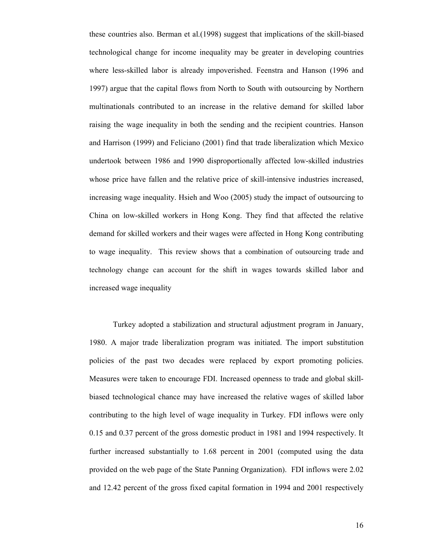these countries also. Berman et al.(1998) suggest that implications of the skill-biased technological change for income inequality may be greater in developing countries where less-skilled labor is already impoverished. Feenstra and Hanson (1996 and 1997) argue that the capital flows from North to South with outsourcing by Northern multinationals contributed to an increase in the relative demand for skilled labor raising the wage inequality in both the sending and the recipient countries. Hanson and Harrison (1999) and Feliciano (2001) find that trade liberalization which Mexico undertook between 1986 and 1990 disproportionally affected low-skilled industries whose price have fallen and the relative price of skill-intensive industries increased, increasing wage inequality. Hsieh and Woo (2005) study the impact of outsourcing to China on low-skilled workers in Hong Kong. They find that affected the relative demand for skilled workers and their wages were affected in Hong Kong contributing to wage inequality. This review shows that a combination of outsourcing trade and technology change can account for the shift in wages towards skilled labor and increased wage inequality

Turkey adopted a stabilization and structural adjustment program in January, 1980. A major trade liberalization program was initiated. The import substitution policies of the past two decades were replaced by export promoting policies. Measures were taken to encourage FDI. Increased openness to trade and global skillbiased technological chance may have increased the relative wages of skilled labor contributing to the high level of wage inequality in Turkey. FDI inflows were only 0.15 and 0.37 percent of the gross domestic product in 1981 and 1994 respectively. It further increased substantially to 1.68 percent in 2001 (computed using the data provided on the web page of the State Panning Organization). FDI inflows were 2.02 and 12.42 percent of the gross fixed capital formation in 1994 and 2001 respectively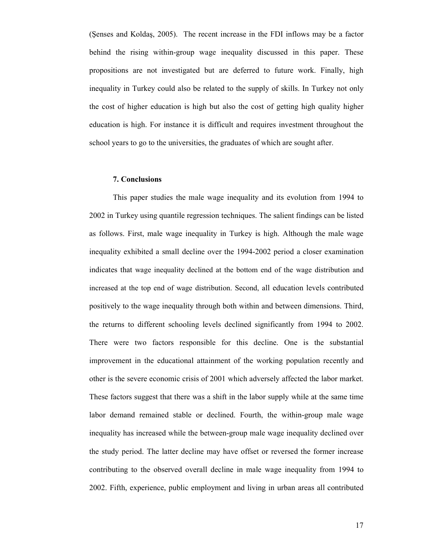(Şenses and Koldaş, 2005). The recent increase in the FDI inflows may be a factor behind the rising within-group wage inequality discussed in this paper. These propositions are not investigated but are deferred to future work. Finally, high inequality in Turkey could also be related to the supply of skills. In Turkey not only the cost of higher education is high but also the cost of getting high quality higher education is high. For instance it is difficult and requires investment throughout the school years to go to the universities, the graduates of which are sought after.

#### **7. Conclusions**

This paper studies the male wage inequality and its evolution from 1994 to 2002 in Turkey using quantile regression techniques. The salient findings can be listed as follows. First, male wage inequality in Turkey is high. Although the male wage inequality exhibited a small decline over the 1994-2002 period a closer examination indicates that wage inequality declined at the bottom end of the wage distribution and increased at the top end of wage distribution. Second, all education levels contributed positively to the wage inequality through both within and between dimensions. Third, the returns to different schooling levels declined significantly from 1994 to 2002. There were two factors responsible for this decline. One is the substantial improvement in the educational attainment of the working population recently and other is the severe economic crisis of 2001 which adversely affected the labor market. These factors suggest that there was a shift in the labor supply while at the same time labor demand remained stable or declined. Fourth, the within-group male wage inequality has increased while the between-group male wage inequality declined over the study period. The latter decline may have offset or reversed the former increase contributing to the observed overall decline in male wage inequality from 1994 to 2002. Fifth, experience, public employment and living in urban areas all contributed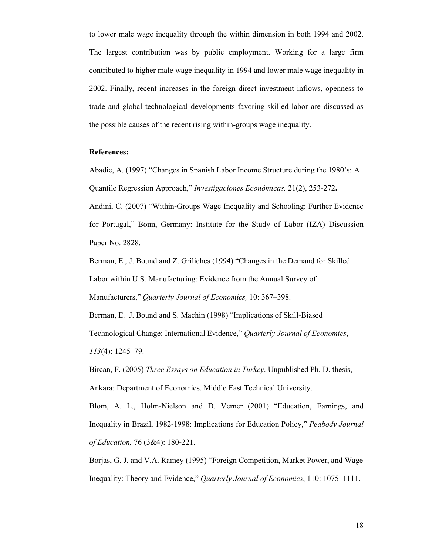to lower male wage inequality through the within dimension in both 1994 and 2002. The largest contribution was by public employment. Working for a large firm contributed to higher male wage inequality in 1994 and lower male wage inequality in 2002. Finally, recent increases in the foreign direct investment inflows, openness to trade and global technological developments favoring skilled labor are discussed as the possible causes of the recent rising within-groups wage inequality.

#### **References:**

Abadie, A. (1997) "Changes in Spanish Labor Income Structure during the 1980's: A Quantile Regression Approach," *Investigaciones Económicas,* 21(2), 253-272**.** 

Andini, C. (2007) "Within-Groups Wage Inequality and Schooling: Further Evidence for Portugal," Bonn, Germany: Institute for the Study of Labor (IZA) Discussion Paper No. 2828.

Berman, E., J. Bound and Z. Griliches (1994) "Changes in the Demand for Skilled Labor within U.S. Manufacturing: Evidence from the Annual Survey of Manufacturers," *Quarterly Journal of Economics,* 10: 367–398.

Berman, E. J. Bound and S. Machin (1998) "Implications of Skill-Biased Technological Change: International Evidence," *Quarterly Journal of Economics*, *113*(4): 1245–79.

Bircan, F. (2005) *Three Essays on Education in Turkey*. Unpublished Ph. D. thesis, Ankara: Department of Economics, Middle East Technical University.

Blom, A. L., Holm-Nielson and D. Verner (2001) "Education, Earnings, and Inequality in Brazil, 1982-1998: Implications for Education Policy," *Peabody Journal of Education,* 76 (3&4): 180-221.

Borjas, G. J. and V.A. Ramey (1995) "Foreign Competition, Market Power, and Wage Inequality: Theory and Evidence," *Quarterly Journal of Economics*, 110: 1075–1111.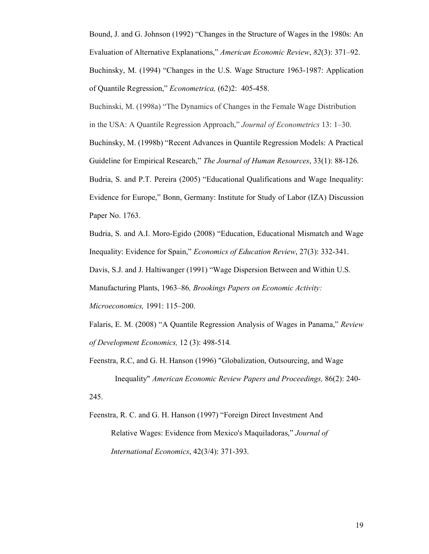Bound, J. and G. Johnson (1992) "Changes in the Structure of Wages in the 1980s: An Evaluation of Alternative Explanations," *American Economic Review*, *82*(3): 371–92. Buchinsky, M. (1994) "Changes in the U.S. Wage Structure 1963-1987: Application

of Quantile Regression," *Econometrica,* (62)2: 405-458.

Buchinski, M. (1998a) "The Dynamics of Changes in the Female Wage Distribution in the USA: A Quantile Regression Approach," *Journal of Econometrics* 13: 1–30. Buchinsky, M. (1998b) "Recent Advances in Quantile Regression Models: A Practical Guideline for Empirical Research," *The Journal of Human Resources*, 33(1): 88-126. Budria, S. and P.T. Pereira (2005) "Educational Qualifications and Wage Inequality: Evidence for Europe," Bonn, Germany: Institute for Study of Labor (IZA) Discussion Paper No. 1763.

Budria, S. and A.I. Moro-Egido (2008) "Education, Educational Mismatch and Wage Inequality: Evidence for Spain," *Economics of Education Review*, 27(3): 332-341. Davis, S.J. and J. Haltiwanger (1991) "Wage Dispersion Between and Within U.S. Manufacturing Plants, 1963–86*, Brookings Papers on Economic Activity: Microeconomics,* 1991: 115–200.

Falaris, E. M. (2008) "A Quantile Regression Analysis of Wages in Panama," *Review of Development Economics,* 12 (3): 498-514*.* 

Feenstra, R.C, and G. H. Hanson (1996) "Globalization, Outsourcing, and Wage Inequality" *American Economic Review Papers and Proceedings,* 86(2): 240- 245.

Feenstra, R. C. and G. H. Hanson (1997) "Foreign Direct Investment And Relative Wages: Evidence from Mexico's Maquiladoras," *Journal of International Economics*, 42(3/4): 371-393.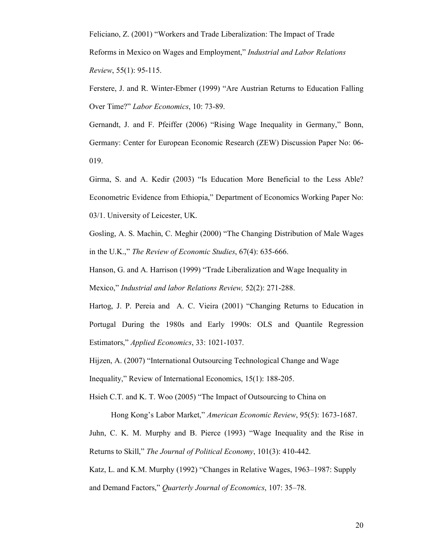Feliciano, Z. (2001) "Workers and Trade Liberalization: The Impact of Trade Reforms in Mexico on Wages and Employment," *Industrial and Labor Relations Review*, 55(1): 95-115.

Ferstere, J. and R. Winter-Ebmer (1999) "Are Austrian Returns to Education Falling Over Time?" *Labor Economics*, 10: 73-89.

Gernandt, J. and F. Pfeiffer (2006) "Rising Wage Inequality in Germany," Bonn, Germany: Center for European Economic Research (ZEW) Discussion Paper No: 06- 019.

Girma, S. and A. Kedir (2003) "Is Education More Beneficial to the Less Able? Econometric Evidence from Ethiopia," Department of Economics Working Paper No: 03/1. University of Leicester, UK.

Gosling, A. S. Machin, C. Meghir (2000) "The Changing Distribution of Male Wages in the U.K.," *The Review of Economic Studies*, 67(4): 635-666.

Hanson, G. and A. Harrison (1999) "Trade Liberalization and Wage Inequality in Mexico," *Industrial and labor Relations Review,* 52(2): 271-288.

Hartog, J. P. Pereia and A. C. Vieira (2001) "Changing Returns to Education in Portugal During the 1980s and Early 1990s: OLS and Quantile Regression Estimators," *Applied Economics*, 33: 1021-1037.

Hijzen, A. (2007) "International Outsourcing Technological Change and Wage

Inequality," Review of International Economics, 15(1): 188-205.

Hsieh C.T. and K. T. Woo (2005) "The Impact of Outsourcing to China on

 Hong Kong's Labor Market," *American Economic Review*, 95(5): 1673-1687. Juhn, C. K. M. Murphy and B. Pierce (1993) "Wage Inequality and the Rise in Returns to Skill," *The Journal of Political Economy*, 101(3): 410-442.

Katz, L. and K.M. Murphy (1992) "Changes in Relative Wages, 1963–1987: Supply and Demand Factors," *Quarterly Journal of Economics*, 107: 35–78.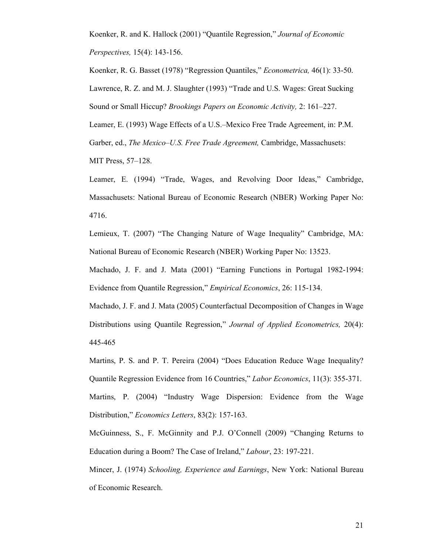Koenker, R. and K. Hallock (2001) "Quantile Regression," *Journal of Economic Perspectives,* 15(4): 143-156.

Koenker, R. G. Basset (1978) "Regression Quantiles," *Econometrica,* 46(1): 33-50. Lawrence, R. Z. and M. J. Slaughter (1993) "Trade and U.S. Wages: Great Sucking Sound or Small Hiccup? *Brookings Papers on Economic Activity,* 2: 161–227.

Leamer, E. (1993) Wage Effects of a U.S.–Mexico Free Trade Agreement, in: P.M. Garber, ed., *The Mexico–U.S. Free Trade Agreement,* Cambridge, Massachusets:

MIT Press, 57–128.

Leamer, E. (1994) "Trade, Wages, and Revolving Door Ideas," Cambridge, Massachusets: National Bureau of Economic Research (NBER) Working Paper No: 4716.

Lemieux, T. (2007) "The Changing Nature of Wage Inequality" Cambridge, MA: National Bureau of Economic Research (NBER) Working Paper No: 13523.

Machado, J. F. and J. Mata (2001) "Earning Functions in Portugal 1982-1994: Evidence from Quantile Regression," *Empirical Economics*, 26: 115-134.

Machado, J. F. and J. Mata (2005) Counterfactual Decomposition of Changes in Wage Distributions using Quantile Regression," *Journal of Applied Econometrics,* 20(4): 445-465

Martins, P. S. and P. T. Pereira (2004) "Does Education Reduce Wage Inequality? Quantile Regression Evidence from 16 Countries," *Labor Economics*, 11(3): 355-371. Martins, P. (2004) "Industry Wage Dispersion: Evidence from the Wage Distribution," *Economics Letters*, 83(2): 157-163.

McGuinness, S., F. McGinnity and P.J. O'Connell (2009) "Changing Returns to Education during a Boom? The Case of Ireland," *Labour*, 23: 197-221.

Mincer, J. (1974) *Schooling, Experience and Earnings*, New York: National Bureau of Economic Research.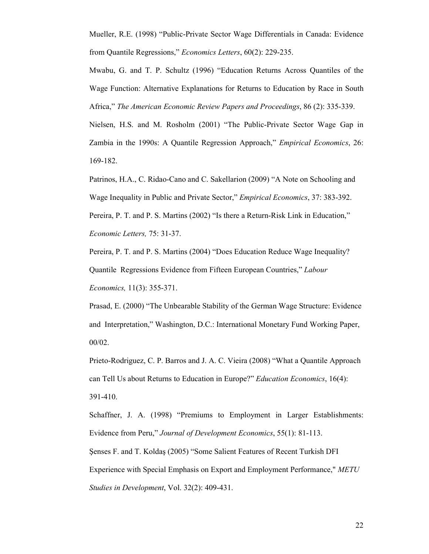Mueller, R.E. (1998) "Public-Private Sector Wage Differentials in Canada: Evidence from Quantile Regressions," *Economics Letters*, 60(2): 229-235.

Mwabu, G. and T. P. Schultz (1996) "Education Returns Across Quantiles of the Wage Function: Alternative Explanations for Returns to Education by Race in South Africa," *The American Economic Review Papers and Proceedings*, 86 (2): 335-339.

Nielsen, H.S. and M. Rosholm (2001) "The Public-Private Sector Wage Gap in Zambia in the 1990s: A Quantile Regression Approach," *Empirical Economics*, 26: 169-182.

Patrinos, H.A., C. Ridao-Cano and C. Sakellarion (2009) "A Note on Schooling and Wage Inequality in Public and Private Sector," *Empirical Economics*, 37: 383-392. Pereira, P. T. and P. S. Martins (2002) "Is there a Return-Risk Link in Education," *Economic Letters,* 75: 31-37.

Pereira, P. T. and P. S. Martins (2004) "Does Education Reduce Wage Inequality? Quantile Regressions Evidence from Fifteen European Countries," *Labour Economics,* 11(3): 355-371.

Prasad, E. (2000) "The Unbearable Stability of the German Wage Structure: Evidence and Interpretation," Washington, D.C.: International Monetary Fund Working Paper, 00/02.

Prieto-Rodriguez, C. P. Barros and J. A. C. Vieira (2008) "What a Quantile Approach can Tell Us about Returns to Education in Europe?" *Education Economics*, 16(4): 391-410.

Schaffner, J. A. (1998) "Premiums to Employment in Larger Establishments: Evidence from Peru," *Journal of Development Economics*, 55(1): 81-113. Şenses F. and T. Koldaş (2005) "Some Salient Features of Recent Turkish DFI Experience with Special Emphasis on Export and Employment Performance," *METU Studies in Development*, Vol. 32(2): 409-431.

22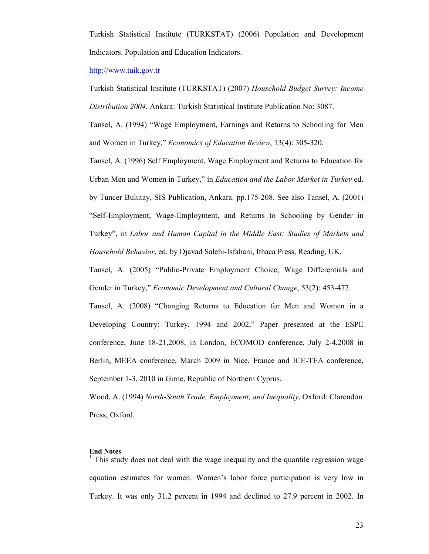Turkish Statistical Institute (TURKSTAT) (2006) Population and Development Indicators. Population and Education Indicators.

#### http://www.tuik.gov.tr

Turkish Statistical Institute (TURKSTAT) (2007) *Household Budget Survey: Income Distribution 2004*. Ankara: Turkish Statistical Institute Publication No: 3087.

Tansel, A. (1994) "Wage Employment, Earnings and Returns to Schooling for Men and Women in Turkey," *Economics of Education Review*, 13(4): 305-320.

Tansel, A. (1996) Self Employment, Wage Employment and Returns to Education for Urban Men and Women in Turkey," in *Education and the Labor Market in Turkey* ed. by Tuncer Bulutay, SIS Publication, Ankara. pp.175-208. See also Tansel, A. (2001) "Self-Employment, Wage-Employment, and Returns to Schooling by Gender in Turkey", in *Labor and Human Capital in the Middle East: Studies of Markets and Household Behavior*, ed. by Djavad Salehi-Isfahani, Ithaca Press, Reading, UK.

Tansel, A. (2005) "Public-Private Employment Choice, Wage Differentials and Gender in Turkey," *Economic Development and Cultural Change*, 53(2): 453-477.

Tansel, A. (2008) "Changing Returns to Education for Men and Women in a Developing Country: Turkey, 1994 and 2002," Paper presented at the ESPE conference, June 18-21,2008, in London, ECOMOD conference, July 2-4,2008 in Berlin, MEEA conference, March 2009 in Nice, France and ICE-TEA conference, September 1-3, 2010 in Girne, Republic of Northern Cyprus.

Wood, A. (1994) *North-South Trade, Employment, and Inequality*, Oxford: Clarendon Press, Oxford.

# **End Notes**

<sup>1</sup> This study does not deal with the wage inequality and the quantile regression wage equation estimates for women. Women's labor force participation is very low in Turkey. It was only 31.2 percent in 1994 and declined to 27.9 percent in 2002. In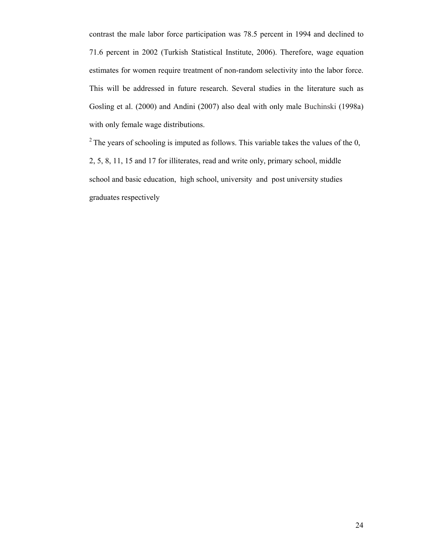contrast the male labor force participation was 78.5 percent in 1994 and declined to 71.6 percent in 2002 (Turkish Statistical Institute, 2006). Therefore, wage equation estimates for women require treatment of non-random selectivity into the labor force. This will be addressed in future research. Several studies in the literature such as Gosling et al. (2000) and Andini (2007) also deal with only male Buchinski (1998a) with only female wage distributions.

 $2^2$  The years of schooling is imputed as follows. This variable takes the values of the 0, 2, 5, 8, 11, 15 and 17 for illiterates, read and write only, primary school, middle school and basic education, high school, university and post university studies graduates respectively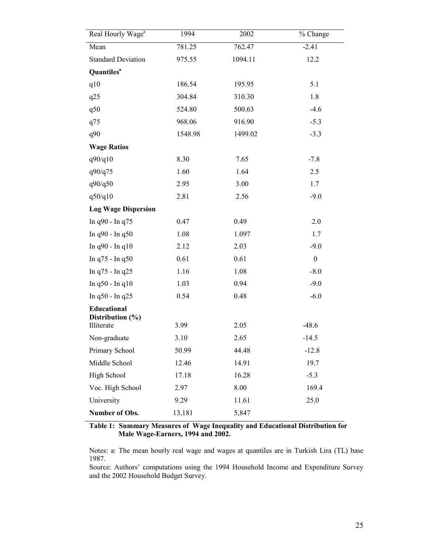| Real Hourly Wage <sup>a</sup>   | 1994    | 2002    | % Change         |
|---------------------------------|---------|---------|------------------|
| Mean                            | 781.25  | 762.47  | $-2.41$          |
| <b>Standard Deviation</b>       | 975.55  | 1094.11 | 12.2             |
| <b>Quantiles</b> <sup>a</sup>   |         |         |                  |
| q10                             | 186.54  | 195.95  | 5.1              |
| q25                             | 304.84  | 310.30  | 1.8              |
| q50                             | 524.80  | 500.63  | $-4.6$           |
| q75                             | 968.06  | 916.90  | $-5.3$           |
| q90                             | 1548.98 | 1499.02 | $-3.3$           |
| <b>Wage Ratios</b>              |         |         |                  |
| q90/q10                         | 8.30    | 7.65    | $-7.8$           |
| q90/q75                         | 1.60    | 1.64    | 2.5              |
| q90/q50                         | 2.95    | 3.00    | 1.7              |
| q50/q10                         | 2.81    | 2.56    | $-9.0$           |
| <b>Log Wage Dispersion</b>      |         |         |                  |
| In q90 - In q75                 | 0.47    | 0.49    | 2.0              |
| In q90 - In q50                 | 1.08    | 1.097   | 1.7              |
| In $q90 - In q10$               | 2.12    | 2.03    | $-9.0$           |
| In q75 - In q50                 | 0.61    | 0.61    | $\boldsymbol{0}$ |
| In q75 - In q25                 | 1.16    | 1.08    | $-8.0$           |
| In q50 - In q10                 | 1.03    | 0.94    | $-9.0$           |
| In q50 - In q25                 | 0.54    | 0.48    | $-6.0$           |
| Educational<br>Distribution (%) |         |         |                  |
| Illiterate                      | 3.99    | 2.05    | $-48.6$          |
| Non-graduate                    | 3.10    | 2.65    | $-14.5$          |
| Primary School                  | 50.99   | 44.48   | $-12.8$          |
| Middle School                   | 12.46   | 14.91   | 19.7             |
| High School                     | 17.18   | 16.28   | $-5.3$           |
| Voc. High School                | 2.97    | 8.00    | 169.4            |
| University                      | 9.29    | 11.61   | 25.0             |
| Number of Obs.                  | 13,181  | 5,847   |                  |

**Table 1: Summary Measures of Wage Inequality and Educational Distribution for Male Wage-Earners, 1994 and 2002.**

Notes: a: The mean hourly real wage and wages at quantiles are in Turkish Lira (TL) base 1987.

Source: Authors' computations using the 1994 Household Income and Expenditure Survey and the 2002 Household Budget Survey.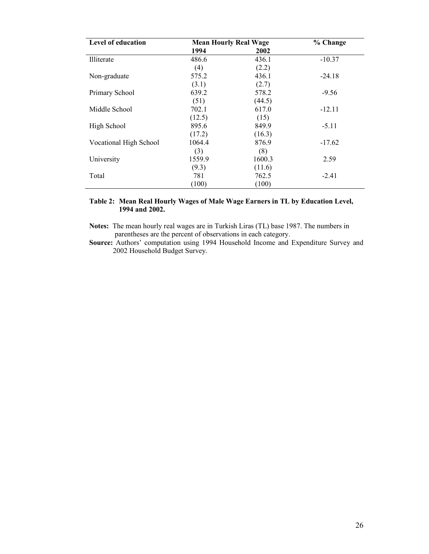| Level of education            | <b>Mean Hourly Real Wage</b> |        | % Change |
|-------------------------------|------------------------------|--------|----------|
|                               | 1994                         | 2002   |          |
| Illiterate                    | 486.6                        | 436.1  | $-10.37$ |
|                               | (4)                          | (2.2)  |          |
| Non-graduate                  | 575.2                        | 436.1  | $-24.18$ |
|                               | (3.1)                        | (2.7)  |          |
| Primary School                | 639.2                        | 578.2  | $-9.56$  |
|                               | (51)                         | (44.5) |          |
| Middle School                 | 702.1                        | 617.0  | $-12.11$ |
|                               | (12.5)                       | (15)   |          |
| High School                   | 895.6                        | 849.9  | $-5.11$  |
|                               | (17.2)                       | (16.3) |          |
| <b>Vocational High School</b> | 1064.4                       | 876.9  | $-17.62$ |
|                               | (3)                          | (8)    |          |
| University                    | 1559.9                       | 1600.3 | 2.59     |
|                               | (9.3)                        | (11.6) |          |
| Total                         | 781                          | 762.5  | $-2.41$  |
|                               | (100)                        | (100)  |          |

# **Table 2: Mean Real Hourly Wages of Male Wage Earners in TL by Education Level, 1994 and 2002.**

**Notes:** The mean hourly real wages are in Turkish Liras (TL) base 1987. The numbers in parentheses are the percent of observations in each category.

**Source:** Authors' computation using 1994 Household Income and Expenditure Survey and 2002 Household Budget Survey.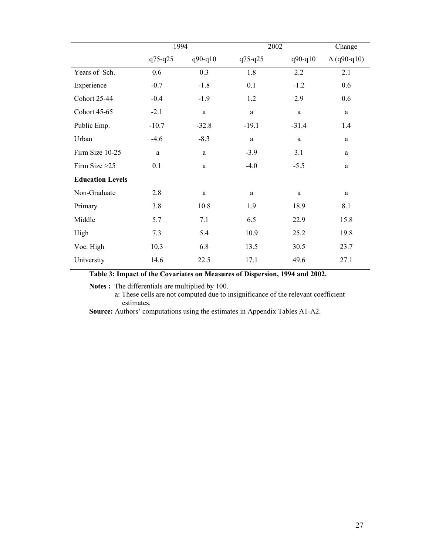|                         | 1994        |              |             | 2002        |                    |  |
|-------------------------|-------------|--------------|-------------|-------------|--------------------|--|
|                         | $q75 - q25$ | $q90 - q10$  | $q75 - q25$ | $q90 - q10$ | $\Delta$ (q90-q10) |  |
| Years of Sch.           | 0.6         | 0.3          | 1.8         | 2.2         | 2.1                |  |
| Experience              | $-0.7$      | $-1.8$       | 0.1         | $-1.2$      | 0.6                |  |
| <b>Cohort 25-44</b>     | $-0.4$      | $-1.9$       | 1.2         | 2.9         | 0.6                |  |
| Cohort 45-65            | $-2.1$      | $\mathbf{a}$ | $\rm{a}$    | a           | a                  |  |
| Public Emp.             | $-10.7$     | $-32.8$      | $-19.1$     | $-31.4$     | 1.4                |  |
| Urban                   | $-4.6$      | $-8.3$       | a           | a           | a                  |  |
| Firm Size 10-25         | a           | a            | $-3.9$      | 3.1         | a                  |  |
| Firm Size $>25$         | 0.1         | a            | $-4.0$      | $-5.5$      | a                  |  |
| <b>Education Levels</b> |             |              |             |             |                    |  |
| Non-Graduate            | 2.8         | a            | a           | a           | a                  |  |
| Primary                 | 3.8         | 10.8         | 1.9         | 18.9        | 8.1                |  |
| Middle                  | 5.7         | 7.1          | 6.5         | 22.9        | 15.8               |  |
| High                    | 7.3         | 5.4          | 10.9        | 25.2        | 19.8               |  |
| Voc. High               | 10.3        | 6.8          | 13.5        | 30.5        | 23.7               |  |
| University              | 14.6        | 22.5         | 17.1        | 49.6        | 27.1               |  |

# **Table 3: Impact of the Covariates on Measures of Dispersion, 1994 and 2002.**

**Notes :** The differentials are multiplied by 100.

 a: These cells are not computed due to insignificance of the relevant coefficient estimates.

**Source:** Authors' computations using the estimates in Appendix Tables A1-A2.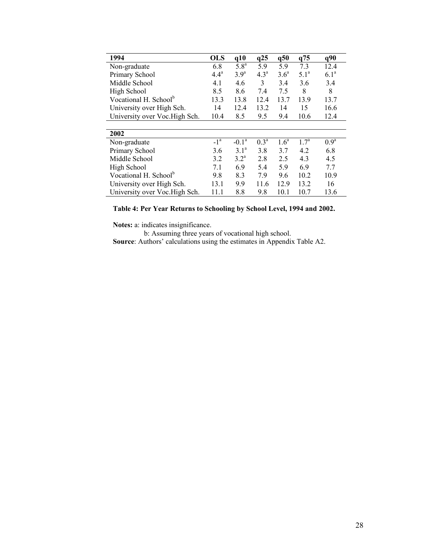| 1994                              | <b>OLS</b> | q10              | q25              | q50              | q75              | q90              |
|-----------------------------------|------------|------------------|------------------|------------------|------------------|------------------|
| Non-graduate                      | 6.8        | 5.8 <sup>a</sup> | 5.9              | 5.9              | 7.3              | 12.4             |
| Primary School                    | $4.4^a$    | 3.9 <sup>a</sup> | 4.3 <sup>a</sup> | 3.6 <sup>a</sup> | 5.1 <sup>a</sup> | 6.1 <sup>a</sup> |
| Middle School                     | 4.1        | 4.6              | 3                | 3.4              | 3.6              | 3.4              |
| High School                       | 8.5        | 8.6              | 7.4              | 7.5              | 8                | 8                |
| Vocational H. School <sup>b</sup> | 13.3       | 13.8             | 12.4             | 13.7             | 13.9             | 13.7             |
| University over High Sch.         | 14         | 12.4             | 13.2             | 14               | 15               | 16.6             |
| University over Voc. High Sch.    | 10.4       | 8.5              | 9.5              | 9.4              | 10.6             | 12.4             |
|                                   |            |                  |                  |                  |                  |                  |
| 2002                              |            |                  |                  |                  |                  |                  |
| Non-graduate                      | $-1a$      | $-0.1a$          | $0.3^{\rm a}$    | 1.6 <sup>a</sup> | $1.7^{\rm a}$    | 0.9 <sup>a</sup> |
| Primary School                    | 3.6        | 3.1 <sup>a</sup> | 3.8              | 3.7              | 4.2              | 6.8              |
| Middle School                     | 3.2        | $3.2^{\rm a}$    | 2.8              | 2.5              | 4.3              | 4.5              |
| High School                       | 7.1        | 6.9              | 5.4              | 5.9              | 6.9              | 7.7              |
| Vocational H. School <sup>b</sup> | 9.8        | 8.3              | 7.9              | 9.6              | 10.2             | 10.9             |
| University over High Sch.         | 13.1       | 9.9              | 11.6             | 12.9             | 13.2             | 16               |
| University over Voc. High Sch.    | 11.1       | 8.8              | 9.8              | 10.1             | 10.7             | 13.6             |

**Table 4: Per Year Returns to Schooling by School Level, 1994 and 2002.**

**Notes:** a: indicates insignificance.

b: Assuming three years of vocational high school.

**Source**: Authors' calculations using the estimates in Appendix Table A2.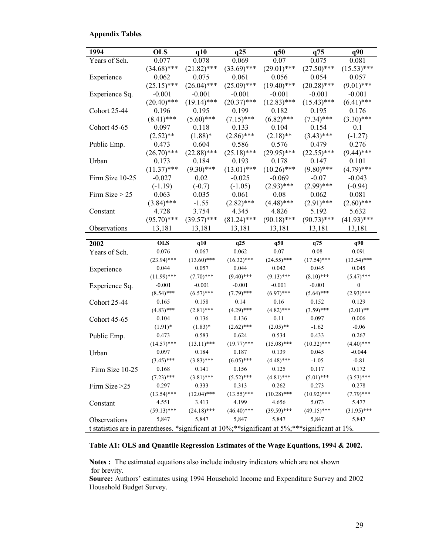# **Appendix Tables**

| 1994                                                                                                           | <b>OLS</b>    | q10           | q25           | q50           | q75           | q90              |
|----------------------------------------------------------------------------------------------------------------|---------------|---------------|---------------|---------------|---------------|------------------|
| Years of Sch.                                                                                                  | 0.077         | 0.078         | 0.069         | 0.07          | 0.075         | 0.081            |
|                                                                                                                | $(34.68)$ *** | $(21.82)$ *** | $(33.69)$ *** | $(29.01)$ *** | $(27.50)$ *** | $(15.53)$ ***    |
| Experience                                                                                                     | 0.062         | 0.075         | 0.061         | 0.056         | 0.054         | 0.057            |
|                                                                                                                | $(25.15)$ *** | $(26.04)$ *** | $(25.09)$ *** | $(19.40)$ *** | $(20.28)$ *** | $(9.01)$ ***     |
| Experience Sq.                                                                                                 | $-0.001$      | $-0.001$      | $-0.001$      | $-0.001$      | $-0.001$      | $-0.001$         |
|                                                                                                                | $(20.40)$ *** | $(19.14)$ *** | $(20.37)$ *** | $(12.83)$ *** | $(15.43)$ *** | $(6.41)$ ***     |
| <b>Cohort 25-44</b>                                                                                            | 0.196         | 0.195         | 0.199         | 0.182         | 0.195         | 0.176            |
|                                                                                                                | $(8.41)$ ***  | $(5.60)$ ***  | $(7.15)$ ***  | $(6.82)$ ***  | $(7.34)$ ***  | $(3.30)$ ***     |
| Cohort 45-65                                                                                                   | 0.097         | 0.118         | 0.133         | 0.104         | 0.154         | 0.1              |
|                                                                                                                | $(2.52)$ **   | $(1.88)*$     | $(2.86)$ ***  | $(2.18)$ **   | $(3.43)$ ***  | $(-1.27)$        |
| Public Emp.                                                                                                    | 0.473         | 0.604         | 0.586         | 0.576         | 0.479         | 0.276            |
|                                                                                                                | $(26.70)$ *** | $(22.88)$ *** | $(25.18)$ *** | $(29.95)$ *** | $(22.55)$ *** | $(9.44)$ ***     |
| Urban                                                                                                          | 0.173         | 0.184         | 0.193         | 0.178         | 0.147         | 0.101            |
|                                                                                                                | $(11.37)$ *** | $(9.30)$ ***  | $(13.01)$ *** | $(10.26)$ *** | $(9.80)$ ***  | $(4.79)$ ***     |
| Firm Size 10-25                                                                                                | $-0.027$      | 0.02          | $-0.025$      | $-0.069$      | $-0.07$       | $-0.043$         |
|                                                                                                                | $(-1.19)$     | $(-0.7)$      | $(-1.05)$     | $(2.93)$ ***  | $(2.99)$ ***  | $(-0.94)$        |
| Firm Size $> 25$                                                                                               | 0.063         | 0.035         | 0.061         | 0.08          | 0.062         | 0.081            |
|                                                                                                                | $(3.84)$ ***  | $-1.55$       | $(2.82)$ ***  | $(4.48)$ ***  | $(2.91)$ ***  | $(2.60)$ ***     |
| Constant                                                                                                       | 4.728         | 3.754         | 4.345         | 4.826         | 5.192         | 5.632            |
|                                                                                                                | $(95.70)$ *** | $(39.57)$ *** | $(81.24)$ *** | $(90.18)$ *** | $(90.73)$ *** | $(41.93)$ ***    |
| Observations                                                                                                   | 13,181        | 13,181        | 13,181        | 13,181        | 13,181        | 13,181           |
|                                                                                                                |               |               | q25           |               | q75           |                  |
| 2002                                                                                                           | <b>OLS</b>    | q10           |               |               |               |                  |
|                                                                                                                |               |               |               | q50           |               | q90              |
| Years of Sch.                                                                                                  | 0.076         | 0.067         | 0.062         | 0.07          | 0.08          | 0.091            |
|                                                                                                                | $(23.94)$ *** | $(13.60)$ *** | $(16.32)$ *** | $(24.55)$ *** | $(17.54)$ *** | $(13.54)$ ***    |
| Experience                                                                                                     | 0.044         | 0.057         | 0.044         | 0.042         | 0.045         | 0.045            |
|                                                                                                                | $(11.99)$ *** | $(7.70)$ ***  | $(9.40)$ ***  | $(9.13)$ ***  | $(8.10)$ ***  | $(5.47)$ ***     |
| Experience Sq.                                                                                                 | $-0.001$      | $-0.001$      | $-0.001$      | $-0.001$      | $-0.001$      | $\boldsymbol{0}$ |
|                                                                                                                | $(8.54)$ ***  | $(6.57)$ ***  | $(7.79)$ ***  | $(6.97)$ ***  | $(5.64)$ ***  | $(2.93)$ ***     |
| Cohort 25-44                                                                                                   | 0.165         | 0.158         | 0.14          | 0.16          | 0.152         | 0.129            |
|                                                                                                                | $(4.83)$ ***  | $(2.81)$ ***  | $(4.29)$ ***  | $(4.82)$ ***  | $(3.59)$ ***  | $(2.01)$ **      |
| Cohort 45-65                                                                                                   | 0.104         | 0.136         | 0.136         | 0.11          | 0.097         | 0.006            |
|                                                                                                                | $(1.91)$ *    | $(1.83)*$     | $(2.62)$ ***  | $(2.05)$ **   | $-1.62$       | $-0.06$          |
| Public Emp.                                                                                                    | 0.473         | 0.583         | 0.624         | 0.534         | 0.433         | 0.267            |
|                                                                                                                | $(14.57)$ *** | $(13.11)$ *** | $(19.77)$ *** | $(15.08)$ *** | $(10.32)$ *** | $(4.40)$ ***     |
| Urban                                                                                                          | 0.097         | 0.184         | 0.187         | 0.139         | 0.045         | $-0.044$         |
|                                                                                                                | $(3.45)$ ***  | $(3.83)$ ***  | $(6.05)$ ***  | $(4.48)$ ***  | $-1.05$       | $-0.81$          |
| Firm Size 10-25                                                                                                | 0.168         | 0.141         | 0.156         | 0.125         | 0.117         | 0.172            |
|                                                                                                                | $(7.23)$ ***  | $(3.81)$ ***  | $(5.52)$ ***  | $(4.81)$ ***  | $(5.01)$ ***  | $(3.53)$ ***     |
| Firm Size $>25$                                                                                                | 0.297         | 0.333         | 0.313         | 0.262         | 0.273         | 0.278            |
|                                                                                                                | $(13.54)$ *** | $(12.04)$ *** | $(13.55)$ *** | $(10.28)$ *** | $(10.92)$ *** | $(7.79)$ ***     |
| Constant                                                                                                       | 4.551         | 3.413         | 4.199         | 4.656         | 5.073         | 5.477            |
|                                                                                                                | $(59.13)$ *** | $(24.18)$ *** | $(46.40)$ *** | $(39.59)$ *** | $(49.15)$ *** | $(31.95)$ ***    |
| Observations<br>t statistics are in parentheses. *significant at 10%;**significant at 5%;***significant at 1%. | 5,847         | 5,847         | 5,847         | 5,847         | 5,847         | 5,847            |

# **Table A1: OLS and Quantile Regression Estimates of the Wage Equations, 1994 & 2002.**

**Notes :** The estimated equations also include industry indicators which are not shown for brevity.

**Source:** Authors' estimates using 1994 Household Income and Expenditure Survey and 2002 Household Budget Survey.